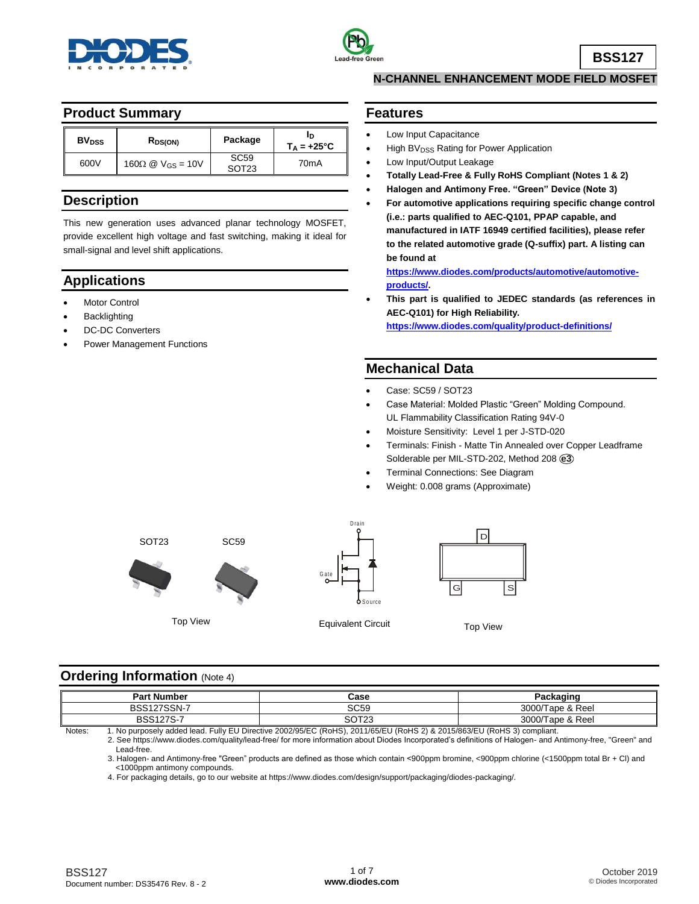



**BSS127**

# **Product Summary**

| <b>BV</b> <sub>pss</sub> | R <sub>DS(ON)</sub>                                 | Package                               | ID<br>$T_A = +25^{\circ}C$ |
|--------------------------|-----------------------------------------------------|---------------------------------------|----------------------------|
| 600V                     | $160\Omega \n\textcircled{2}$ V <sub>GS</sub> = 10V | SC <sub>59</sub><br>SOT <sub>23</sub> | 70 <sub>m</sub> A          |

# **Description**

This new generation uses advanced planar technology MOSFET, provide excellent high voltage and fast switching, making it ideal for small-signal and level shift applications.

# **Applications**

- Motor Control
- **Backlighting**
- DC-DC Converters
- Power Management Functions

### **N-CHANNEL ENHANCEMENT MODE FIELD MOSFET**

# **Features**

- Low Input Capacitance
- High BV<sub>DSS</sub> Rating for Power Application
- Low Input/Output Leakage
- **Totally Lead-Free & Fully RoHS Compliant (Notes 1 & 2)**
- **Halogen and Antimony Free. "Green" Device (Note 3)**
- **For automotive applications requiring specific change control (i.e.: parts qualified to AEC-Q101, PPAP capable, and manufactured in IATF 16949 certified facilities), please refer to the related automotive grade (Q-suffix) part. A listing can be found at**

**[https://www.diodes.com/products/automotive/automotive](https://www.diodes.com/products/automotive/automotive-products/)[products/.](https://www.diodes.com/products/automotive/automotive-products/)**

 **This part is qualified to JEDEC standards (as references in AEC-Q101) for High Reliability. <https://www.diodes.com/quality/product-definitions/>**

## **Mechanical Data**

- Case: SC59 / SOT23
- Case Material: Molded Plastic "Green" Molding Compound. UL Flammability Classification Rating 94V-0
- Moisture Sensitivity: Level 1 per J-STD-020
- Terminals: Finish Matte Tin Annealed over Copper Leadframe Solderable per MIL-STD-202, Method 208 **e3**
- Terminal Connections: See Diagram
- Weight: 0.008 grams (Approximate)



**Ordering Information (Note 4)** 

| <b>Part Number</b> | Case                   | Packaɑinɑ        |
|--------------------|------------------------|------------------|
| <b>BSS127SSN-</b>  | SC59                   | 3000/Tape & Reel |
| <b>BSS127S-7</b>   | <b>COTOO</b><br>SU 123 | 3000/Tape & Reel |

Notes: 1. No purposely added lead. Fully EU Directive 2002/95/EC (RoHS), 2011/65/EU (RoHS 2) & 2015/863/EU (RoHS 3) compliant.

 2. See [https://www.diodes.com/quality/lead-free/ fo](https://www.diodes.com/quality/lead-free/)r more information about Diodes Incorporated's definitions of Halogen- and Antimony-free, "Green" and Lead-free.

 3. Halogen- and Antimony-free "Green" products are defined as those which contain <900ppm bromine, <900ppm chlorine (<1500ppm total Br + Cl) and <1000ppm antimony compounds.

4. For packaging details, go to our website at [https://www.diodes.com/design/support/packaging/diodes-packaging/.](https://www.diodes.com/design/support/packaging/diodes-packaging/)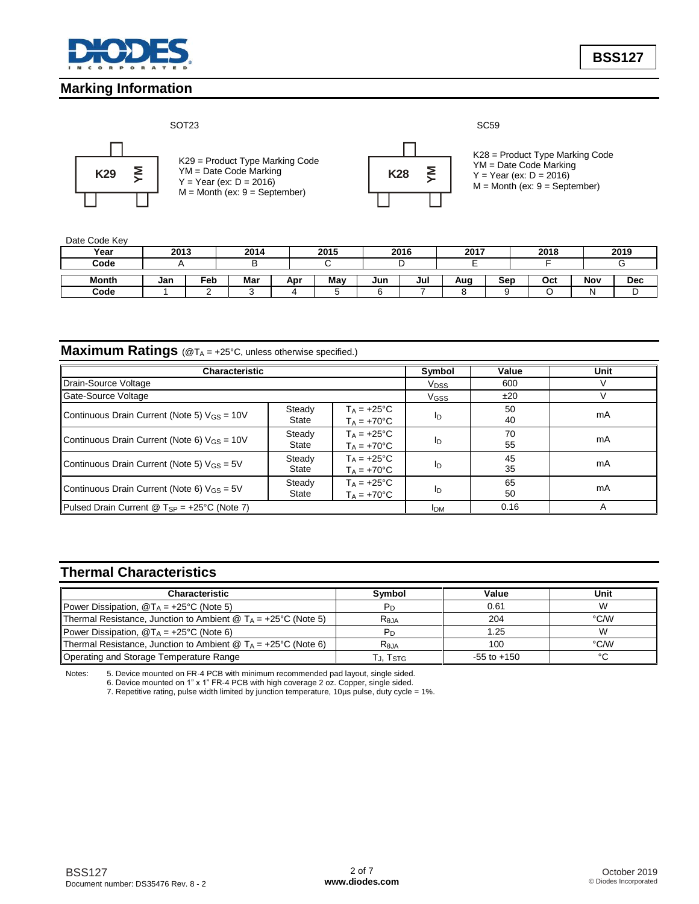

**Marking Information**

**BSS127**

### SOT23 SC59



K29 = Product Type Marking Code YM = Date Code Marking  $Y = Year (ex: D = 2016)$ M = Month (ex: 9 = September)



K28 = Product Type Marking Code YM = Date Code Marking  $Y = Year (ex: D = 2016)$  $M =$  Month (ex:  $9 =$  September)

### Date Code Key

| Year  | 2013 |     | 2014 |     | 2015 |     | 2016 | 2017 |     | 2018 |     | 2019       |
|-------|------|-----|------|-----|------|-----|------|------|-----|------|-----|------------|
| Code  |      |     | −    |     |      |     |      |      |     |      |     |            |
| Month | Jan  | ™eb | Mar  | Apr | May  | Jun | Jul  | Aug  | Sep | Oct  | Nov | <b>Dec</b> |
| Code  |      |     |      |     |      |     |      |      |     |      |     |            |

# **Maximum Ratings** (@TA = +25°C, unless otherwise specified.)

| <b>Characteristic</b>                                   | Symbol                  | Value                                        | Unit                   |          |    |
|---------------------------------------------------------|-------------------------|----------------------------------------------|------------------------|----------|----|
| Drain-Source Voltage                                    | <b>V</b> <sub>pss</sub> | 600                                          |                        |          |    |
| Gate-Source Voltage                                     |                         |                                              | <b>V<sub>GSS</sub></b> | ±20      |    |
| Continuous Drain Current (Note 5) $V_{GS} = 10V$        | Steady<br>State         | $T_A = +25$ °C<br>$T_A = +70^{\circ}C$       | Ιŋ                     | 50<br>40 | mA |
| Continuous Drain Current (Note 6) $V_{GS} = 10V$        | Steady<br>State         | $T_A = +25^{\circ}C$<br>$T_A = +70^{\circ}C$ | Ιŋ                     | 70<br>55 | mA |
| Continuous Drain Current (Note 5) $V_{GS} = 5V$         | Steady<br>State         | $T_A = +25^{\circ}C$<br>$T_A = +70^{\circ}C$ | Ιŋ                     | 45<br>35 | mA |
| Continuous Drain Current (Note 6) $V_{GS} = 5V$         | Steady<br>State         | $T_A = +25^{\circ}C$<br>$T_A = +70^{\circ}C$ | ID                     | 65<br>50 | mA |
| Pulsed Drain Current @ $T_{SP} = +25^{\circ}C$ (Note 7) | <b>IDM</b>              | 0.16                                         | A                      |          |    |

# **Thermal Characteristics**

| <b>Characteristic</b>                                                         | Symbol     | Value           | Unit   |
|-------------------------------------------------------------------------------|------------|-----------------|--------|
| <b>Power Dissipation, <math>\mathcal{Q}T_A = +25^{\circ}C</math> (Note 5)</b> |            | 0.61            | W      |
| Thermal Resistance, Junction to Ambient @ $T_A = +25^{\circ}C$ (Note 5)       | $R_{0,IA}$ | 204             | °C/W   |
| Power Dissipation, $\mathcal{Q}T_A = +25^{\circ}C$ (Note 6)                   |            | 1.25            | W      |
| Thermal Resistance, Junction to Ambient @ $T_A = +25^{\circ}C$ (Note 6)       | Reja       | 100             | °C/W   |
| Operating and Storage Temperature Range                                       | J, ISTG    | $-55$ to $+150$ | $\sim$ |

Notes: 5. Device mounted on FR-4 PCB with minimum recommended pad layout, single sided.

6. Device mounted on 1" x 1" FR-4 PCB with high coverage 2 oz. Copper, single sided.

7. Repetitive rating, pulse width limited by junction temperature, 10µs pulse, duty cycle = 1%.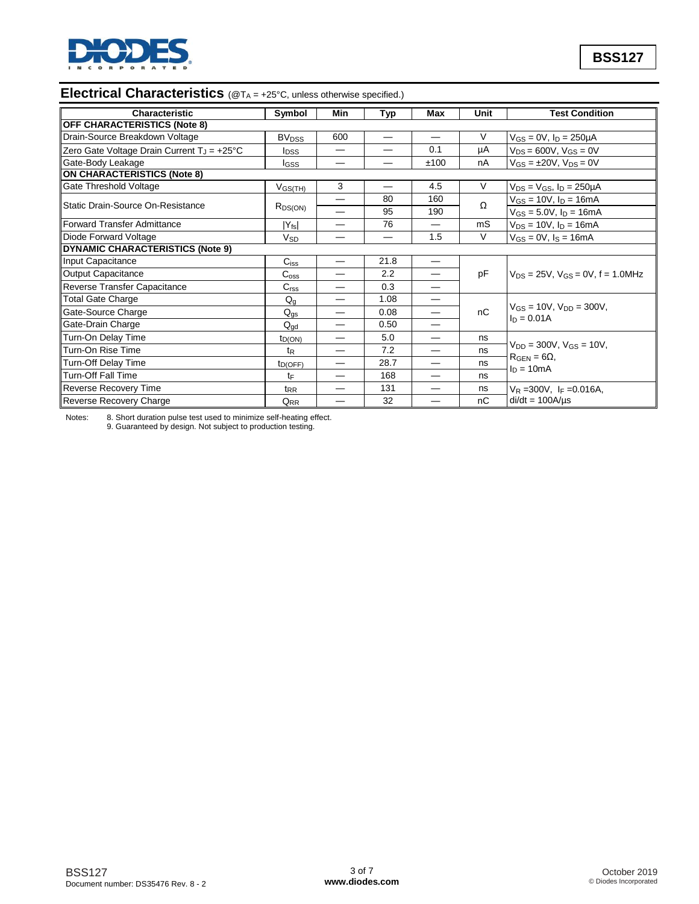

# **Electrical Characteristics** (@T<sub>A</sub> = +25°C, unless otherwise specified.)

| Characteristic                                         | Symbol                             | Min                      | Typ  | Max  | Unit                       | <b>Test Condition</b>                               |
|--------------------------------------------------------|------------------------------------|--------------------------|------|------|----------------------------|-----------------------------------------------------|
| <b>OFF CHARACTERISTICS (Note 8)</b>                    |                                    |                          |      |      |                            |                                                     |
| Drain-Source Breakdown Voltage                         | <b>BV<sub>DSS</sub></b>            | 600                      |      |      | V                          | $V_{GS} = 0V$ , $I_D = 250 \mu A$                   |
| Zero Gate Voltage Drain Current T <sub>J</sub> = +25°C | <b>I</b> <sub>DSS</sub>            |                          |      | 0.1  | μA                         | $V_{DS} = 600V$ , $V_{GS} = 0V$                     |
| Gate-Body Leakage                                      | lgss                               |                          |      | ±100 | nA                         | $V_{GS} = \pm 20V$ , $V_{DS} = 0V$                  |
| <b>ON CHARACTERISTICS (Note 8)</b>                     |                                    |                          |      |      |                            |                                                     |
| Gate Threshold Voltage                                 | $V$ <sub>GS<math>(TH)</math></sub> | 3                        |      | 4.5  | V                          | $V_{DS}$ = $V_{GS}$ , $I_D$ = 250µA                 |
| Static Drain-Source On-Resistance                      |                                    |                          | 80   | 160  | Ω                          | $V_{GS} = 10V$ , $I_D = 16mA$                       |
|                                                        | $R_{DS(ON)}$                       |                          | 95   | 190  |                            | $V_{GS} = 5.0 V, I_D = 16 mA$                       |
| Forward Transfer Admittance                            | $ Y_{fs} $                         |                          | 76   |      | mS                         | $V_{DS} = 10V$ , $I_D = 16mA$                       |
| Diode Forward Voltage                                  | <b>V<sub>SD</sub></b>              |                          |      | 1.5  | $\vee$                     | $V_{GS} = 0V$ , $I_S = 16mA$                        |
| <b>DYNAMIC CHARACTERISTICS (Note 9)</b>                |                                    |                          |      |      |                            |                                                     |
| Input Capacitance                                      | $C_{iss}$                          |                          | 21.8 |      |                            |                                                     |
| Output Capacitance                                     | $C_{\rm oss}$                      |                          | 2.2  |      | рF                         | $V_{DS}$ = 25V, $V_{GS}$ = 0V, f = 1.0MHz           |
| Reverse Transfer Capacitance                           | C <sub>rss</sub>                   |                          | 0.3  |      |                            |                                                     |
| <b>Total Gate Charge</b>                               | $Q_{q}$                            | —                        | 1.08 |      |                            |                                                     |
| Gate-Source Charge                                     | $Q_{\text{qs}}$                    |                          | 0.08 |      | nC                         | $V_{GS} = 10V$ , $V_{DD} = 300V$ ,<br>$I_D = 0.01A$ |
| Gate-Drain Charge                                      | $Q_{\text{qd}}$                    | $\overline{\phantom{0}}$ | 0.50 | —    |                            |                                                     |
| Turn-On Delay Time                                     | $t_{D(ON)}$                        |                          | 5.0  |      | ns                         |                                                     |
| Turn-On Rise Time                                      | $t_{R}$                            |                          | 7.2  |      | ns                         | $V_{DD} = 300V$ , $V_{GS} = 10V$ ,                  |
| <b>Turn-Off Delay Time</b>                             | $t_{D(OFF)}$                       |                          | 28.7 |      | ns                         | $R_{\text{GEN}} = 6\Omega$                          |
| Turn-Off Fall Time                                     | tF                                 |                          | 168  |      | ns                         | $I_D = 10mA$                                        |
| <b>Reverse Recovery Time</b>                           | t <sub>RR</sub>                    |                          | 131  |      | ns                         | $V_R = 300V$ , I <sub>F</sub> = 0.016A,             |
| <b>Reverse Recovery Charge</b>                         | $Q_{RR}$                           |                          | 32   |      | пC<br>$di/dt = 100A/\mu s$ |                                                     |

Notes: 8. Short duration pulse test used to minimize self-heating effect. 9. Guaranteed by design. Not subject to production testing.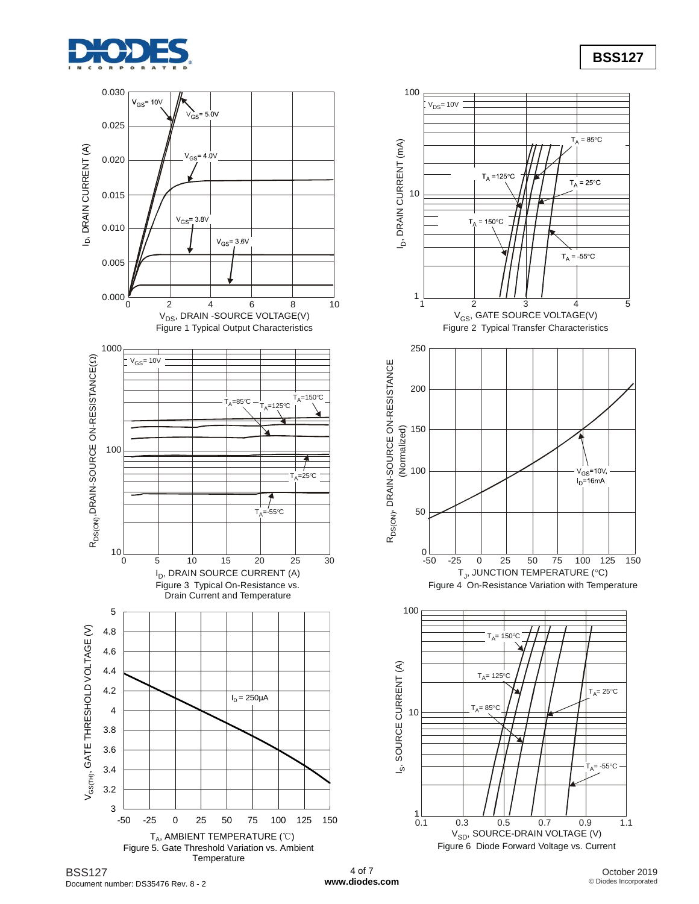





4 of 7 **[www.diodes.com](http://www.diodes.com)**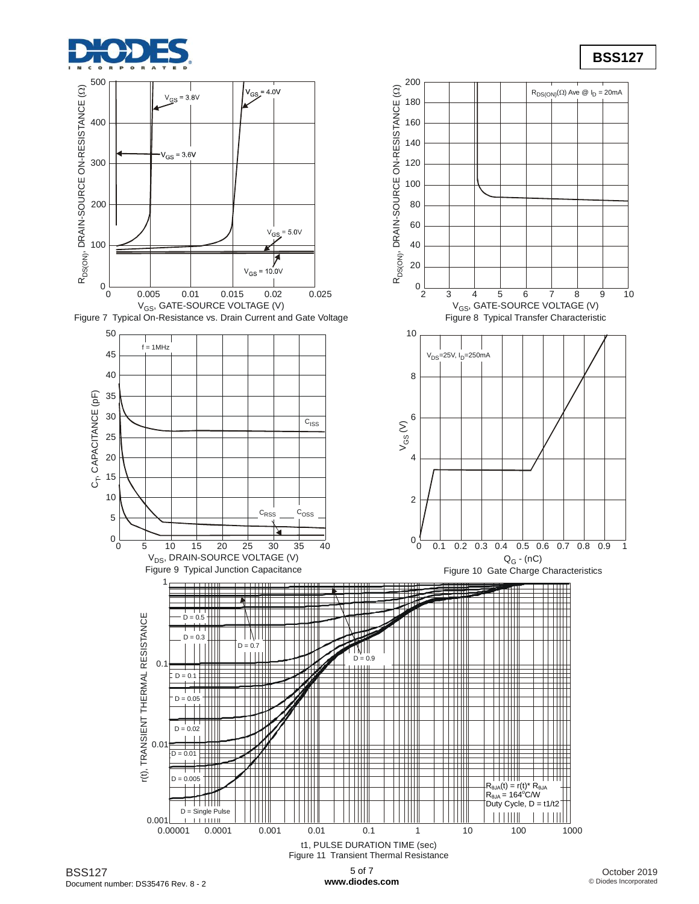



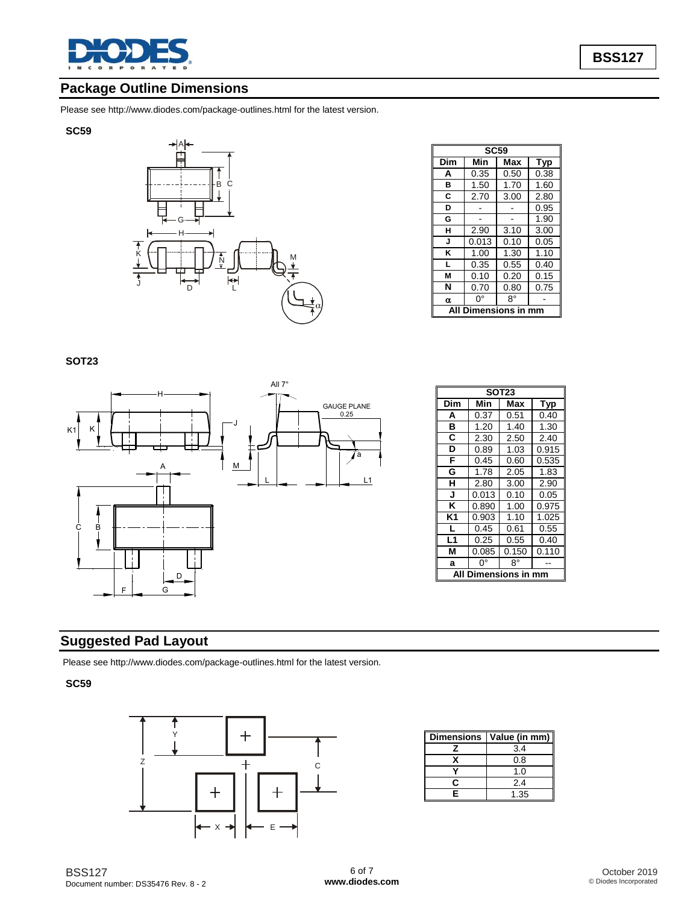

# **Package Outline Dimensions**

Please see <http://www.diodes.com/package-outlines.html> for the latest version.

### **SC59**



| <b>SC59</b> |                  |      |      |  |  |
|-------------|------------------|------|------|--|--|
| Dim         | Min              | Max  | Typ  |  |  |
| A           | 0.35             | 0.50 | 0.38 |  |  |
| в           | 1.50             | 1.70 | 1.60 |  |  |
| C           | 2.70             | 3.00 | 2.80 |  |  |
| D           |                  |      | 0.95 |  |  |
| G           |                  |      | 1.90 |  |  |
| н           | 2.90             | 3.10 | 3.00 |  |  |
| J           | 0.013            | 0.10 | 0.05 |  |  |
| ĸ           | 1.00             | 1.30 | 1.10 |  |  |
| L           | 0.35             | 0.55 | 0.40 |  |  |
| M           | 0.10             | 0.20 | 0.15 |  |  |
| N           | 0.70             | 0.80 | 0.75 |  |  |
| α           | 0°               | R۰   |      |  |  |
|             | Dimensions in mm |      |      |  |  |

## **SOT23**



| <b>SOT23</b>       |       |       |       |  |  |
|--------------------|-------|-------|-------|--|--|
| Dim                | Min   | Max   | Typ   |  |  |
| A                  | 0.37  | 0.51  | 0.40  |  |  |
| в                  | 1.20  | 1.40  | 1.30  |  |  |
| C                  | 2.30  | 2.50  | 2.40  |  |  |
| D                  | 0.89  | 1.03  | 0.915 |  |  |
| F                  | 0.45  | 0.60  | 0.535 |  |  |
| G                  | 1.78  | 2.05  | 1.83  |  |  |
| н                  | 2.80  | 3.00  | 2.90  |  |  |
| J                  | 0.013 | 0.10  | 0.05  |  |  |
| ĸ                  | 0.890 | 1.00  | 0.975 |  |  |
| K1                 | 0.903 | 1.10  | 1.025 |  |  |
| L                  | 0.45  | 0.61  | 0.55  |  |  |
| L1                 | 0.25  | 0.55  | 0.40  |  |  |
| м                  | 0.085 | 0.150 | 0.110 |  |  |
| a                  | ŋ۰    | 8°    |       |  |  |
| Dimensions in<br>A |       |       |       |  |  |

# **Suggested Pad Layout**

Please see <http://www.diodes.com/package-outlines.html> for the latest version.

## **SC59**



| <b>Dimensions</b> | Value (in mm) |
|-------------------|---------------|
|                   | 3.4           |
|                   | 0.8           |
|                   | 1.0           |
| r                 | 2.4           |
|                   | 1.35          |